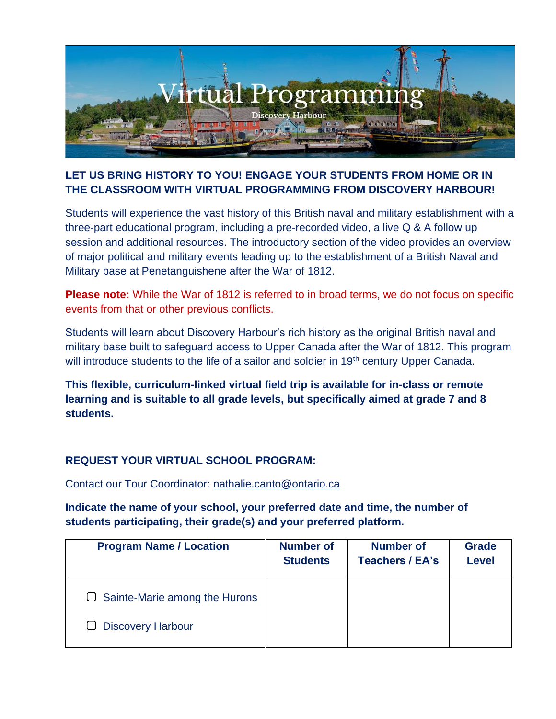

## **LET US BRING HISTORY TO YOU! ENGAGE YOUR STUDENTS FROM HOME OR IN THE CLASSROOM WITH VIRTUAL PROGRAMMING FROM DISCOVERY HARBOUR!**

Students will experience the vast history of this British naval and military establishment with a three-part educational program, including a pre-recorded video, a live Q & A follow up session and additional resources. The introductory section of the video provides an overview of major political and military events leading up to the establishment of a British Naval and Military base at Penetanguishene after the War of 1812.

**Please note:** While the War of 1812 is referred to in broad terms, we do not focus on specific events from that or other previous conflicts.

Students will learn about Discovery Harbour's rich history as the original British naval and military base built to safeguard access to Upper Canada after the War of 1812. This program will introduce students to the life of a sailor and soldier in 19<sup>th</sup> century Upper Canada.

**This flexible, curriculum-linked virtual field trip is available for in-class or remote learning and is suitable to all grade levels, but specifically aimed at grade 7 and 8 students.** 

### **REQUEST YOUR VIRTUAL SCHOOL PROGRAM:**

Contact our Tour Coordinator: [nathalie.canto@ontario.ca](mailto:nathalie.canto@ontario.ca)

**Indicate the name of your school, your preferred date and time, the number of students participating, their grade(s) and your preferred platform.**

| <b>Program Name / Location</b>       | <b>Number of</b><br><b>Students</b> | <b>Number of</b><br><b>Teachers / EA's</b> | <b>Grade</b><br><b>Level</b> |
|--------------------------------------|-------------------------------------|--------------------------------------------|------------------------------|
| $\Box$ Sainte-Marie among the Hurons |                                     |                                            |                              |
| □ Discovery Harbour                  |                                     |                                            |                              |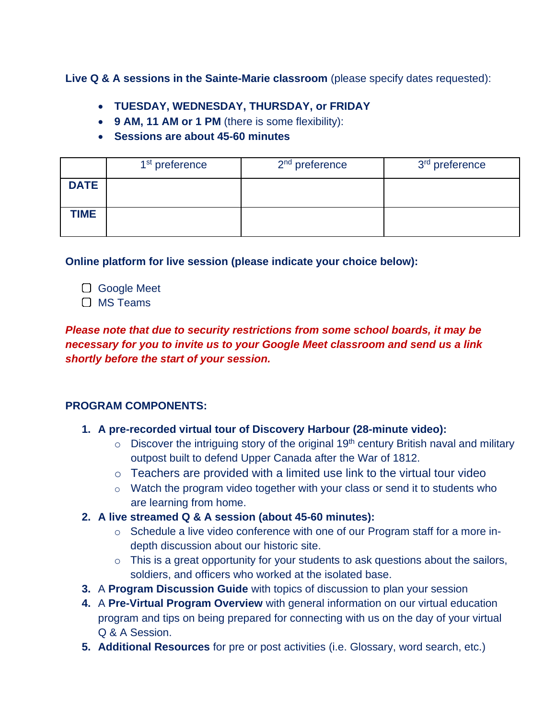**Live Q & A sessions in the Sainte-Marie classroom** (please specify dates requested):

- **TUESDAY, WEDNESDAY, THURSDAY, or FRIDAY**
- **9 AM, 11 AM or 1 PM** (there is some flexibility):
- **Sessions are about 45-60 minutes**

|             | 1 <sup>st</sup> preference | $2nd$ preference | 3 <sup>rd</sup> preference |
|-------------|----------------------------|------------------|----------------------------|
| <b>DATE</b> |                            |                  |                            |
| <b>TIME</b> |                            |                  |                            |

**Online platform for live session (please indicate your choice below):**

- Google Meet
- □ MS Teams

*Please note that due to security restrictions from some school boards, it may be necessary for you to invite us to your Google Meet classroom and send us a link shortly before the start of your session.*

### **PROGRAM COMPONENTS:**

- **1. A pre-recorded virtual tour of Discovery Harbour (28-minute video):**
	- $\circ$  Discover the intriguing story of the original 19<sup>th</sup> century British naval and military outpost built to defend Upper Canada after the War of 1812.
	- $\circ$  Teachers are provided with a limited use link to the virtual tour video
	- $\circ$  Watch the program video together with your class or send it to students who are learning from home.
- **2. A live streamed Q & A session (about 45-60 minutes):**
	- o Schedule a live video conference with one of our Program staff for a more indepth discussion about our historic site.
	- $\circ$  This is a great opportunity for your students to ask questions about the sailors, soldiers, and officers who worked at the isolated base.
- **3.** A **Program Discussion Guide** with topics of discussion to plan your session
- **4.** A **Pre-Virtual Program Overview** with general information on our virtual education program and tips on being prepared for connecting with us on the day of your virtual Q & A Session.
- **5. Additional Resources** for pre or post activities (i.e. Glossary, word search, etc.)